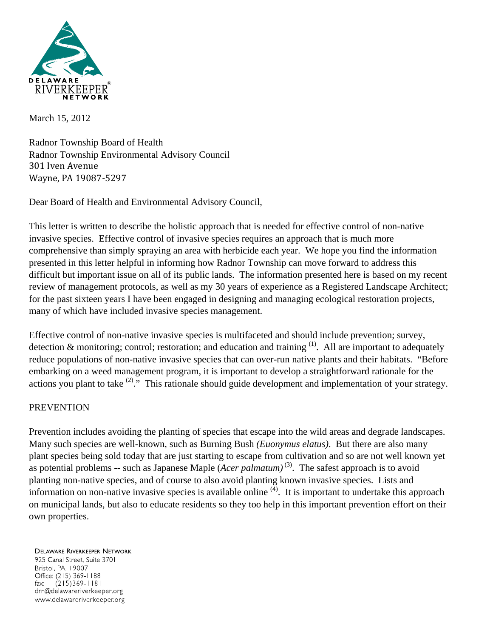

March 15, 2012

Radnor Township Board of Health Radnor Township Environmental Advisory Council 301 Iven Avenue Wayne, PA 19087‐5297

Dear Board of Health and Environmental Advisory Council,

This letter is written to describe the holistic approach that is needed for effective control of non-native invasive species. Effective control of invasive species requires an approach that is much more comprehensive than simply spraying an area with herbicide each year. We hope you find the information presented in this letter helpful in informing how Radnor Township can move forward to address this difficult but important issue on all of its public lands. The information presented here is based on my recent review of management protocols, as well as my 30 years of experience as a Registered Landscape Architect; for the past sixteen years I have been engaged in designing and managing ecological restoration projects, many of which have included invasive species management.

Effective control of non-native invasive species is multifaceted and should include prevention; survey, detection  $\&$  monitoring; control; restoration; and education and training  $(1)$ . All are important to adequately reduce populations of non-native invasive species that can over-run native plants and their habitats. "Before embarking on a weed management program, it is important to develop a straightforward rationale for the actions you plant to take  $(2)$ ." This rationale should guide development and implementation of your strategy.

## PREVENTION

Prevention includes avoiding the planting of species that escape into the wild areas and degrade landscapes. Many such species are well-known, such as Burning Bush *(Euonymus elatus)*. But there are also many plant species being sold today that are just starting to escape from cultivation and so are not well known yet as potential problems -- such as Japanese Maple (*Acer palmatum*)<sup>(3)</sup>. The safest approach is to avoid planting non-native species, and of course to also avoid planting known invasive species. Lists and information on non-native invasive species is available online  $(4)$ . It is important to undertake this approach on municipal lands, but also to educate residents so they too help in this important prevention effort on their own properties.

**DELAWARE RIVERKEEPER NETWORK** 925 Canal Street, Suite 3701 Bristol, PA 19007 Office: (215) 369-1188  $fax$  $(215)369 - 1181$ drn@delawareriverkeeper.org www.delawareriverkeeper.org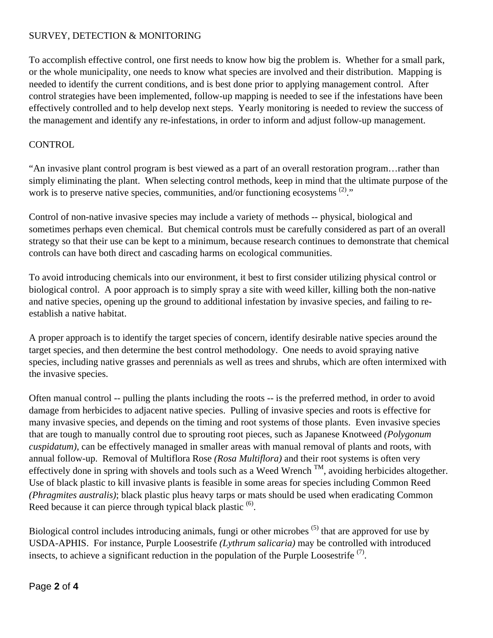# SURVEY, DETECTION & MONITORING

To accomplish effective control, one first needs to know how big the problem is. Whether for a small park, or the whole municipality, one needs to know what species are involved and their distribution. Mapping is needed to identify the current conditions, and is best done prior to applying management control. After control strategies have been implemented, follow-up mapping is needed to see if the infestations have been effectively controlled and to help develop next steps. Yearly monitoring is needed to review the success of the management and identify any re-infestations, in order to inform and adjust follow-up management.

#### **CONTROL**

"An invasive plant control program is best viewed as a part of an overall restoration program…rather than simply eliminating the plant. When selecting control methods, keep in mind that the ultimate purpose of the work is to preserve native species, communities, and/or functioning ecosystems  $(2)$ ."

Control of non-native invasive species may include a variety of methods -- physical, biological and sometimes perhaps even chemical. But chemical controls must be carefully considered as part of an overall strategy so that their use can be kept to a minimum, because research continues to demonstrate that chemical controls can have both direct and cascading harms on ecological communities.

To avoid introducing chemicals into our environment, it best to first consider utilizing physical control or biological control. A poor approach is to simply spray a site with weed killer, killing both the non-native and native species, opening up the ground to additional infestation by invasive species, and failing to reestablish a native habitat.

A proper approach is to identify the target species of concern, identify desirable native species around the target species, and then determine the best control methodology. One needs to avoid spraying native species, including native grasses and perennials as well as trees and shrubs, which are often intermixed with the invasive species.

Often manual control -- pulling the plants including the roots -- is the preferred method, in order to avoid damage from herbicides to adjacent native species. Pulling of invasive species and roots is effective for many invasive species, and depends on the timing and root systems of those plants. Even invasive species that are tough to manually control due to sprouting root pieces, such as Japanese Knotweed *(Polygonum cuspidatum)*, can be effectively managed in smaller areas with manual removal of plants and roots, with annual follow-up. Removal of Multiflora Rose *(Rosa Multiflora)* and their root systems is often very effectively done in spring with shovels and tools such as a Weed Wrench  $\rm{TM}$ , avoiding herbicides altogether. Use of black plastic to kill invasive plants is feasible in some areas for species including Common Reed *(Phragmites australis)*; black plastic plus heavy tarps or mats should be used when eradicating Common Reed because it can pierce through typical black plastic  $<sup>(6)</sup>$ .</sup>

Biological control includes introducing animals, fungi or other microbes <sup>(5)</sup> that are approved for use by USDA-APHIS. For instance, Purple Loosestrife *(Lythrum salicaria)* may be controlled with introduced insects, to achieve a significant reduction in the population of the Purple Loosestrife<sup> $(7)$ </sup>.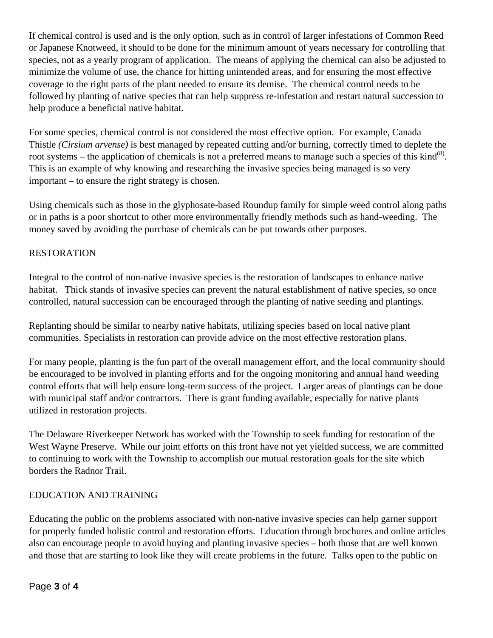If chemical control is used and is the only option, such as in control of larger infestations of Common Reed or Japanese Knotweed, it should to be done for the minimum amount of years necessary for controlling that species, not as a yearly program of application. The means of applying the chemical can also be adjusted to minimize the volume of use, the chance for hitting unintended areas, and for ensuring the most effective coverage to the right parts of the plant needed to ensure its demise. The chemical control needs to be followed by planting of native species that can help suppress re-infestation and restart natural succession to help produce a beneficial native habitat.

For some species, chemical control is not considered the most effective option. For example, Canada Thistle *(Cirsium arvense)* is best managed by repeated cutting and/or burning, correctly timed to deplete the root systems – the application of chemicals is not a preferred means to manage such a species of this kind<sup>(8)</sup>. This is an example of why knowing and researching the invasive species being managed is so very important – to ensure the right strategy is chosen.

Using chemicals such as those in the glyphosate-based Roundup family for simple weed control along paths or in paths is a poor shortcut to other more environmentally friendly methods such as hand-weeding. The money saved by avoiding the purchase of chemicals can be put towards other purposes.

# RESTORATION

Integral to the control of non-native invasive species is the restoration of landscapes to enhance native habitat. Thick stands of invasive species can prevent the natural establishment of native species, so once controlled, natural succession can be encouraged through the planting of native seeding and plantings.

Replanting should be similar to nearby native habitats, utilizing species based on local native plant communities. Specialists in restoration can provide advice on the most effective restoration plans.

For many people, planting is the fun part of the overall management effort, and the local community should be encouraged to be involved in planting efforts and for the ongoing monitoring and annual hand weeding control efforts that will help ensure long-term success of the project. Larger areas of plantings can be done with municipal staff and/or contractors. There is grant funding available, especially for native plants utilized in restoration projects.

The Delaware Riverkeeper Network has worked with the Township to seek funding for restoration of the West Wayne Preserve. While our joint efforts on this front have not yet yielded success, we are committed to continuing to work with the Township to accomplish our mutual restoration goals for the site which borders the Radnor Trail.

## EDUCATION AND TRAINING

Educating the public on the problems associated with non-native invasive species can help garner support for properly funded holistic control and restoration efforts. Education through brochures and online articles also can encourage people to avoid buying and planting invasive species – both those that are well known and those that are starting to look like they will create problems in the future. Talks open to the public on